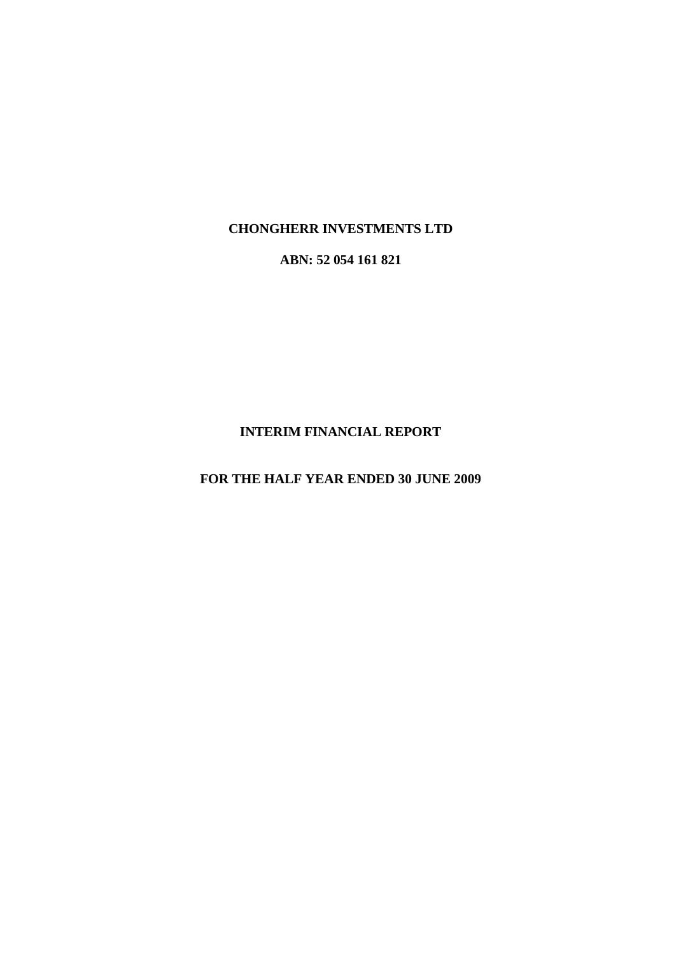# **CHONGHERR INVESTMENTS LTD**

**ABN: 52 054 161 821**

# **INTERIM FINANCIAL REPORT**

**FOR THE HALF YEAR ENDED 30 JUNE 2009**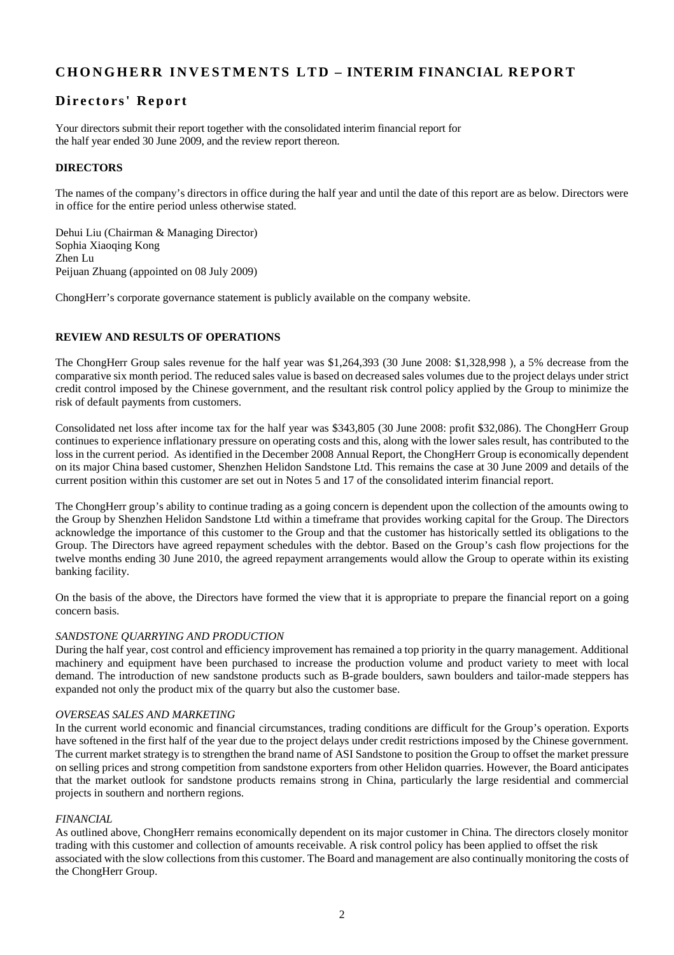# **C H O N G H E R R I N V E S T M E N T S L T D – INTERIM FINANCIAL R E P O R T**

# **Directors' Report**

Your directors submit their report together with the consolidated interim financial report for the half year ended 30 June 2009, and the review report thereon.

#### **DIRECTORS**

The names of the company's directors in office during the half year and until the date of this report are as below. Directors were in office for the entire period unless otherwise stated.

Dehui Liu (Chairman & Managing Director) Sophia Xiaoqing Kong Zhen Lu Peijuan Zhuang (appointed on 08 July 2009)

ChongHerr's corporate governance statement is publicly available on the company website.

#### **REVIEW AND RESULTS OF OPERATIONS**

The ChongHerr Group sales revenue for the half year was \$1,264,393 (30 June 2008: \$1,328,998 ), a 5% decrease from the comparative six month period. The reduced sales value is based on decreased sales volumes due to the project delays under strict credit control imposed by the Chinese government, and the resultant risk control policy applied by the Group to minimize the risk of default payments from customers.

Consolidated net loss after income tax for the half year was \$343,805 (30 June 2008: profit \$32,086). The ChongHerr Group continues to experience inflationary pressure on operating costs and this, along with the lower sales result, has contributed to the loss in the current period. As identified in the December 2008 Annual Report, the ChongHerr Group is economically dependent on its major China based customer, Shenzhen Helidon Sandstone Ltd. This remains the case at 30 June 2009 and details of the current position within this customer are set out in Notes 5 and 17 of the consolidated interim financial report.

The ChongHerr group's ability to continue trading as a going concern is dependent upon the collection of the amounts owing to the Group by Shenzhen Helidon Sandstone Ltd within a timeframe that provides working capital for the Group. The Directors acknowledge the importance of this customer to the Group and that the customer has historically settled its obligations to the Group. The Directors have agreed repayment schedules with the debtor. Based on the Group's cash flow projections for the twelve months ending 30 June 2010, the agreed repayment arrangements would allow the Group to operate within its existing banking facility.

On the basis of the above, the Directors have formed the view that it is appropriate to prepare the financial report on a going concern basis.

#### *SANDSTONE QUARRYING AND PRODUCTION*

During the half year, cost control and efficiency improvement has remained a top priority in the quarry management. Additional machinery and equipment have been purchased to increase the production volume and product variety to meet with local demand. The introduction of new sandstone products such as B-grade boulders, sawn boulders and tailor-made steppers has expanded not only the product mix of the quarry but also the customer base.

#### *OVERSEAS SALES AND MARKETING*

In the current world economic and financial circumstances, trading conditions are difficult for the Group's operation. Exports have softened in the first half of the year due to the project delays under credit restrictions imposed by the Chinese government. The current market strategy is to strengthen the brand name of ASI Sandstone to position the Group to offset the market pressure on selling prices and strong competition from sandstone exporters from other Helidon quarries. However, the Board anticipates that the market outlook for sandstone products remains strong in China, particularly the large residential and commercial projects in southern and northern regions.

#### *FINANCIAL*

As outlined above, ChongHerr remains economically dependent on its major customer in China. The directors closely monitor trading with this customer and collection of amounts receivable. A risk control policy has been applied to offset the risk associated with the slow collections from this customer. The Board and management are also continually monitoring the costs of the ChongHerr Group.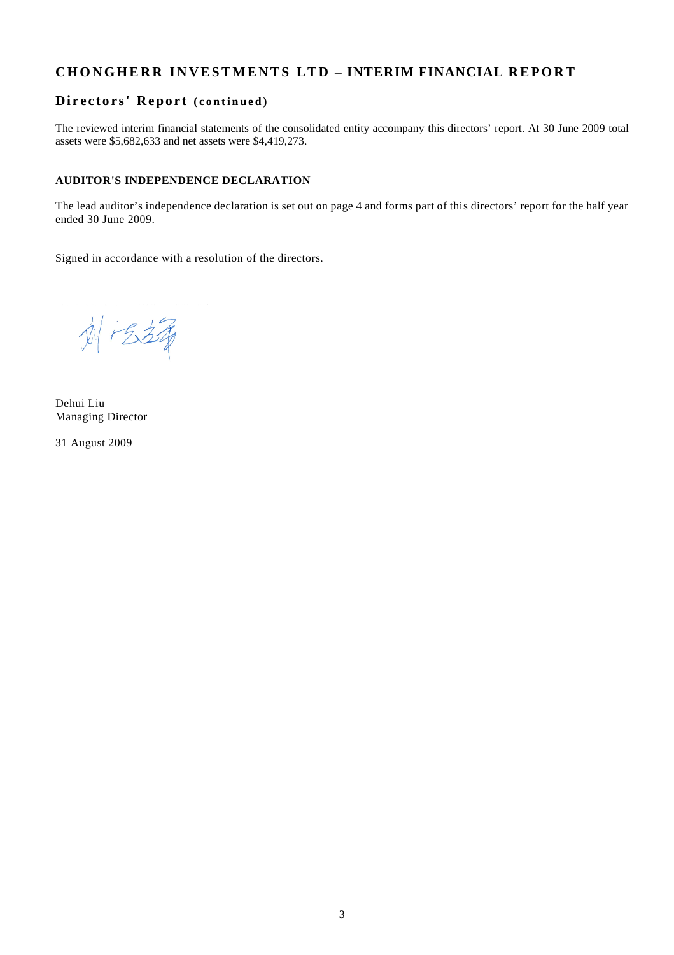# **C H O N G H E R R I N V E S T M E N T S L T D – INTERIM FINANCIAL R E P O R T**

### $Directors' Report (continued)$

The reviewed interim financial statements of the consolidated entity accompany this directors' report. At 30 June 2009 total assets were \$5,682,633 and net assets were \$4,419,273.

#### **AUDITOR'S INDEPENDENCE DECLARATION**

The lead auditor's independence declaration is set out on page 4 and forms part of this directors' report for the half year ended 30 June 2009.

Signed in accordance with a resolution of the directors.

刘志靖

Dehui Liu Managing Director

31 August 2009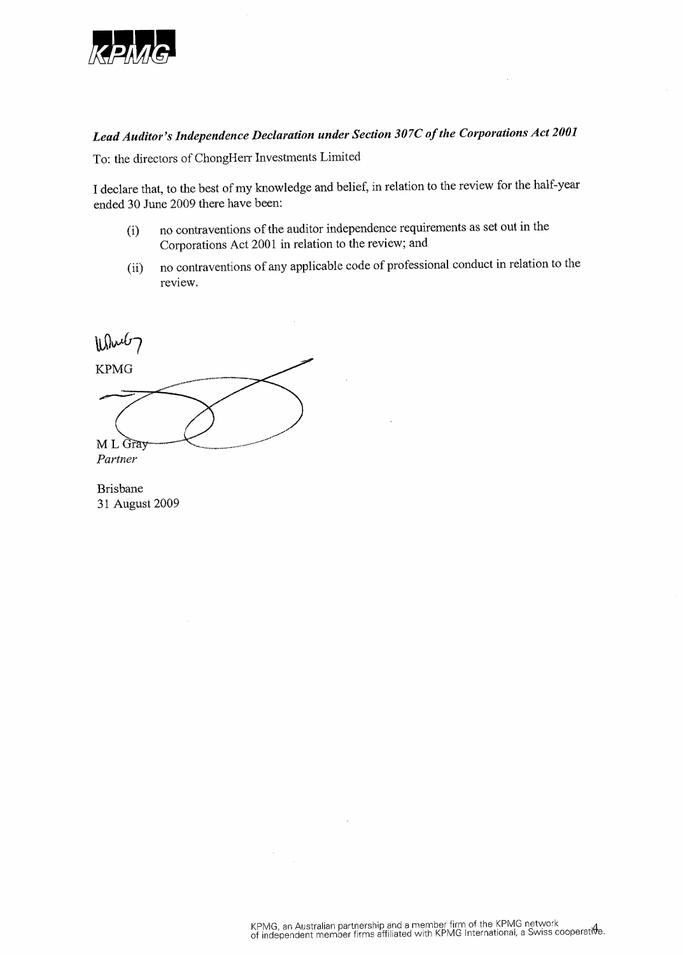

# Lead Auditor's Independence Declaration under Section 307C of the Corporations Act 2001

To: the directors of ChongHerr Investments Limited

I declare that, to the best of my knowledge and belief, in relation to the review for the half-year ended 30 June 2009 there have been:

- no contraventions of the auditor independence requirements as set out in the  $(i)$ Corporations Act 2001 in relation to the review; and
- no contraventions of any applicable code of professional conduct in relation to the  $(ii)$ review.

While7 **KPMG** M L Gray Partner

**Brisbane** 31 August 2009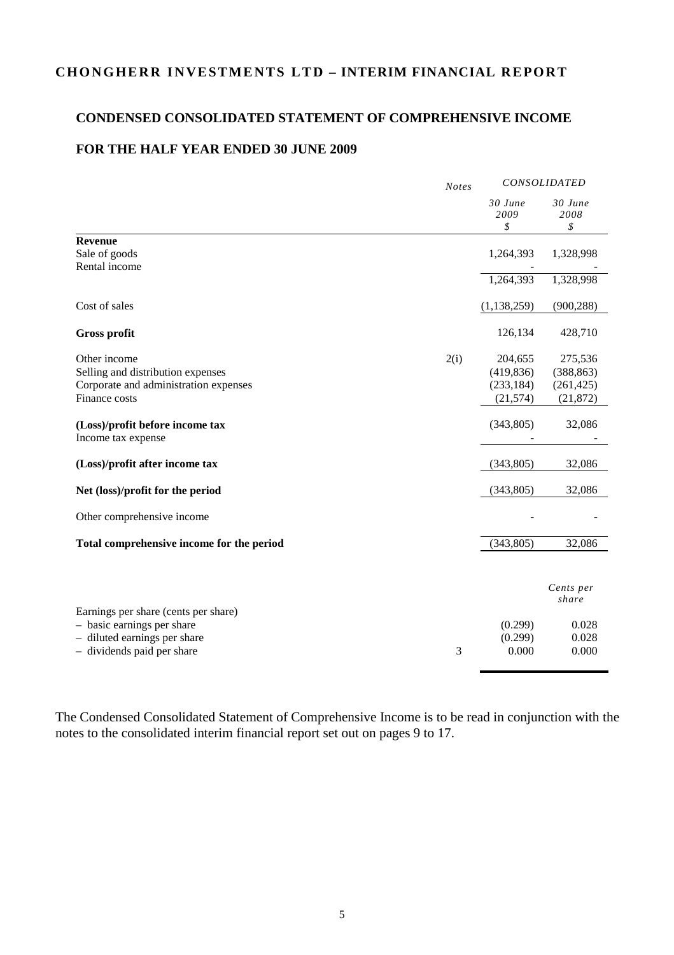# **C H O N G H E R R IN V E S T ME N T S L T D – INTERIM FINANCIAL R E PO R T**

# **CONDENSED CONSOLIDATED STATEMENT OF COMPREHENSIVE INCOME**

# **FOR THE HALF YEAR ENDED 30 JUNE 2009**

|                                                                    | <b>Notes</b> | CONSOLIDATED    |                    |
|--------------------------------------------------------------------|--------------|-----------------|--------------------|
|                                                                    |              | 30 June<br>2009 | 30 June<br>2008    |
| <b>Revenue</b>                                                     |              | \$              | \$                 |
| Sale of goods                                                      |              | 1,264,393       | 1,328,998          |
| Rental income                                                      |              |                 |                    |
|                                                                    |              | 1,264,393       | 1,328,998          |
| Cost of sales                                                      |              | (1, 138, 259)   | (900, 288)         |
| <b>Gross profit</b>                                                |              | 126,134         | 428,710            |
| Other income                                                       | 2(i)         | 204,655         | 275,536            |
| Selling and distribution expenses                                  |              | (419, 836)      | (388, 863)         |
| Corporate and administration expenses                              |              | (233, 184)      | (261, 425)         |
| Finance costs                                                      |              | (21, 574)       | (21, 872)          |
| (Loss)/profit before income tax<br>Income tax expense              |              | (343, 805)      | 32,086             |
| (Loss)/profit after income tax                                     |              | (343, 805)      | 32,086             |
| Net (loss)/profit for the period                                   |              | (343, 805)      | 32,086             |
| Other comprehensive income                                         |              |                 |                    |
| Total comprehensive income for the period                          |              | (343, 805)      | 32,086             |
|                                                                    |              |                 |                    |
|                                                                    |              |                 | Cents per<br>share |
| Earnings per share (cents per share)<br>- basic earnings per share |              | (0.299)         |                    |
| - diluted earnings per share                                       |              | (0.299)         | 0.028<br>0.028     |
| - dividends paid per share                                         | 3            | 0.000           | 0.000              |
|                                                                    |              |                 |                    |

The Condensed Consolidated Statement of Comprehensive Income is to be read in conjunction with the notes to the consolidated interim financial report set out on pages 9 to 17.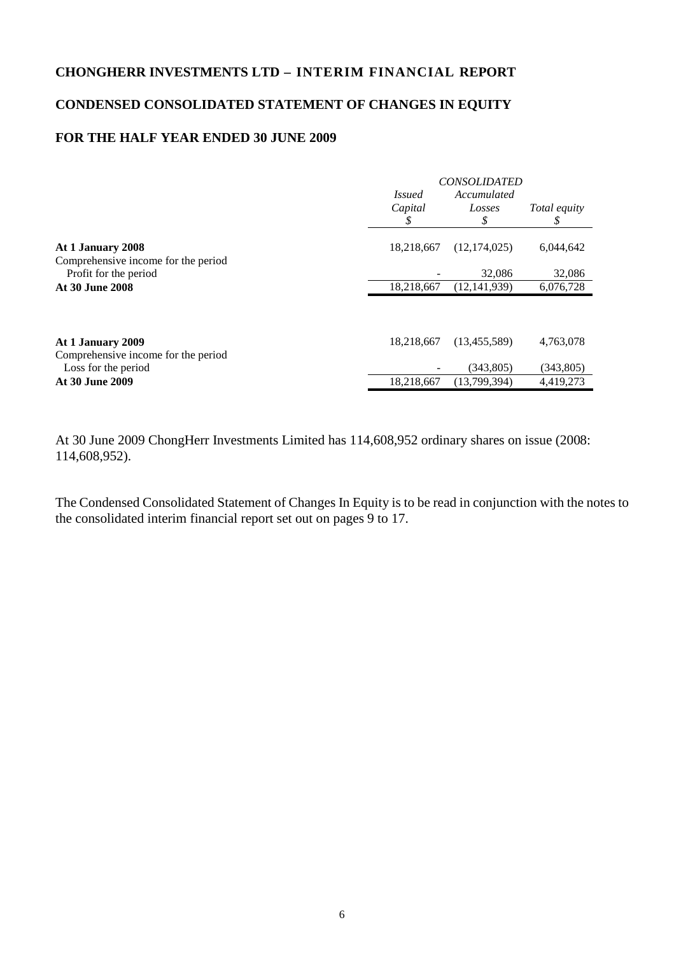# **CONDENSED CONSOLIDATED STATEMENT OF CHANGES IN EQUITY**

# **FOR THE HALF YEAR ENDED 30 JUNE 2009**

|                                                          |               | <b>CONSOLIDATED</b> |                     |
|----------------------------------------------------------|---------------|---------------------|---------------------|
|                                                          | <i>Issued</i> | Accumulated         |                     |
|                                                          | Capital       | Losses              | <i>Total equity</i> |
|                                                          | \$            | \$                  | \$                  |
| At 1 January 2008<br>Comprehensive income for the period | 18,218,667    | (12, 174, 025)      | 6,044,642           |
| Profit for the period                                    |               | 32,086              | 32,086              |
| At 30 June 2008                                          | 18,218,667    | (12, 141, 939)      | 6,076,728           |
|                                                          |               |                     |                     |
| At 1 January 2009                                        | 18,218,667    | (13, 455, 589)      | 4,763,078           |
| Comprehensive income for the period                      |               |                     |                     |
| Loss for the period                                      |               | (343, 805)          | (343, 805)          |
| At 30 June 2009                                          | 18,218,667    | (13,799,394)        | 4,419,273           |
|                                                          |               |                     |                     |

At 30 June 2009 ChongHerr Investments Limited has 114,608,952 ordinary shares on issue (2008: 114,608,952).

The Condensed Consolidated Statement of Changes In Equity is to be read in conjunction with the notes to the consolidated interim financial report set out on pages 9 to 17.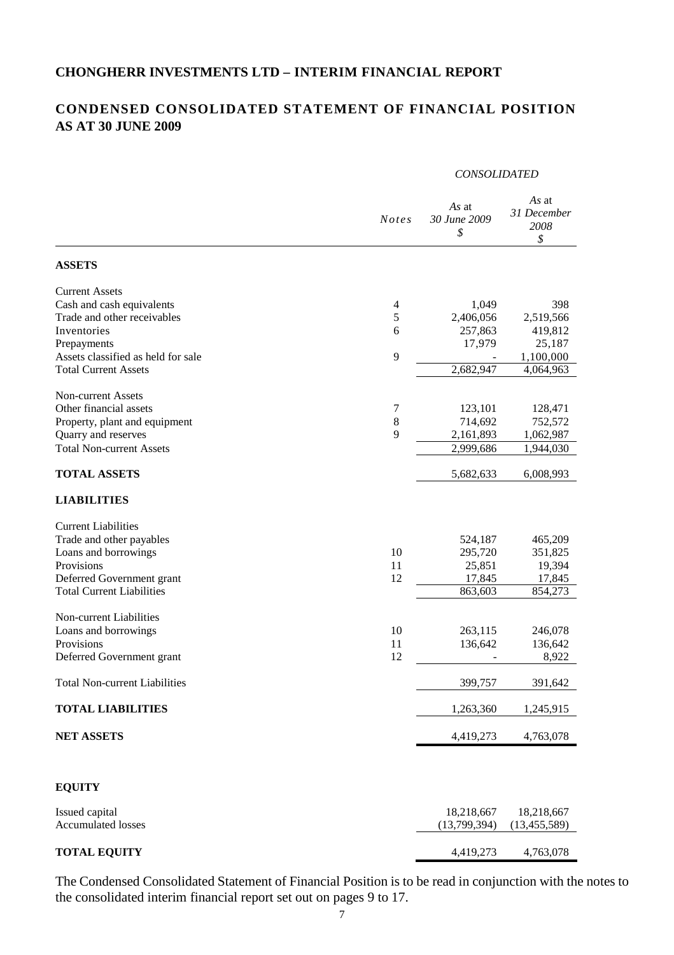# **CONDENSED CONSOLIDATED STATEMENT OF FINANCIAL POSITION AS AT 30 JUNE 2009**

#### *CONSOLIDATED*

|                                      | <b>Notes</b> | As at<br>30 June 2009<br>\$ | As at<br>31 December<br>2008<br>\$ |
|--------------------------------------|--------------|-----------------------------|------------------------------------|
| <b>ASSETS</b>                        |              |                             |                                    |
| <b>Current Assets</b>                |              |                             |                                    |
| Cash and cash equivalents            | 4            | 1,049                       | 398                                |
| Trade and other receivables          | 5            | 2,406,056                   | 2,519,566                          |
| Inventories                          | 6            | 257,863                     | 419,812                            |
| Prepayments                          |              | 17,979                      | 25,187                             |
| Assets classified as held for sale   | 9            |                             | 1,100,000                          |
| <b>Total Current Assets</b>          |              | 2,682,947                   | 4,064,963                          |
| Non-current Assets                   |              |                             |                                    |
| Other financial assets               | 7            | 123,101                     | 128,471                            |
| Property, plant and equipment        | $\,$ 8 $\,$  | 714,692                     | 752,572                            |
| Quarry and reserves                  | 9            | 2,161,893                   | 1,062,987                          |
| <b>Total Non-current Assets</b>      |              | 2,999,686                   | 1,944,030                          |
|                                      |              |                             |                                    |
| <b>TOTAL ASSETS</b>                  |              | 5,682,633                   | 6,008,993                          |
| <b>LIABILITIES</b>                   |              |                             |                                    |
| <b>Current Liabilities</b>           |              |                             |                                    |
| Trade and other payables             |              | 524,187                     | 465,209                            |
| Loans and borrowings                 | 10           | 295,720                     | 351,825                            |
| Provisions                           | 11           | 25,851                      | 19,394                             |
| Deferred Government grant            | 12           | 17,845                      | 17,845                             |
| <b>Total Current Liabilities</b>     |              | 863,603                     | 854,273                            |
| Non-current Liabilities              |              |                             |                                    |
| Loans and borrowings                 | 10           | 263,115                     | 246,078                            |
| Provisions                           | 11           | 136,642                     | 136,642                            |
| Deferred Government grant            | 12           |                             | 8,922                              |
| <b>Total Non-current Liabilities</b> |              | 399,757                     | 391,642                            |
| <b>TOTAL LIABILITIES</b>             |              | 1,263,360                   | 1,245,915                          |
| <b>NET ASSETS</b>                    |              | 4,419,273                   | 4,763,078                          |
|                                      |              |                             |                                    |
| <b>EQUITY</b>                        |              |                             |                                    |
| Issued capital                       |              | 18,218,667                  | 18,218,667                         |
| <b>Accumulated losses</b>            |              | (13,799,394)                | (13, 455, 589)                     |
| <b>TOTAL EQUITY</b>                  |              | 4,419,273                   | 4,763,078                          |

The Condensed Consolidated Statement of Financial Position is to be read in conjunction with the notes to the consolidated interim financial report set out on pages 9 to 17.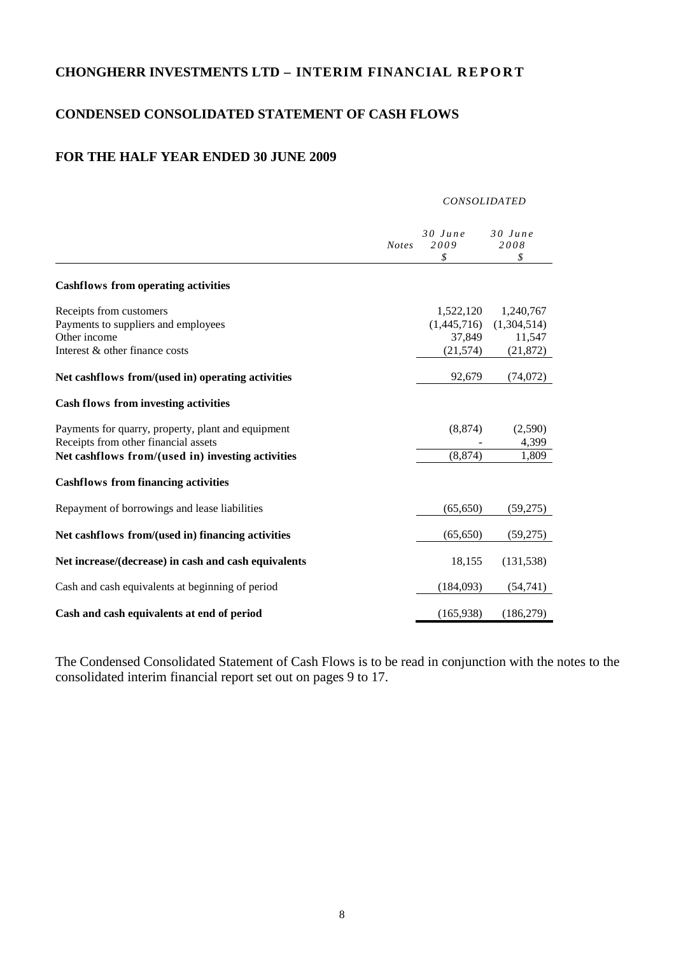# **CONDENSED CONSOLIDATED STATEMENT OF CASH FLOWS**

# **FOR THE HALF YEAR ENDED 30 JUNE 2009**

|                                                                                                                  |              | <b>CONSOLIDATED</b>                             |                                                 |
|------------------------------------------------------------------------------------------------------------------|--------------|-------------------------------------------------|-------------------------------------------------|
|                                                                                                                  | <b>Notes</b> | $30$ June<br>2009<br>\$                         | $30$ June<br>2008<br>\$                         |
| <b>Cashflows from operating activities</b>                                                                       |              |                                                 |                                                 |
| Receipts from customers<br>Payments to suppliers and employees<br>Other income<br>Interest & other finance costs |              | 1,522,120<br>(1,445,716)<br>37,849<br>(21, 574) | 1,240,767<br>(1,304,514)<br>11,547<br>(21, 872) |
| Net cashflows from/(used in) operating activities                                                                |              | 92,679                                          | (74,072)                                        |
| <b>Cash flows from investing activities</b>                                                                      |              |                                                 |                                                 |
| Payments for quarry, property, plant and equipment<br>Receipts from other financial assets                       |              | (8, 874)                                        | (2,590)<br>4,399                                |
| Net cashflows from/(used in) investing activities                                                                |              | (8, 874)                                        | 1,809                                           |
| <b>Cashflows from financing activities</b>                                                                       |              |                                                 |                                                 |
| Repayment of borrowings and lease liabilities                                                                    |              | (65, 650)                                       | (59,275)                                        |
| Net cashflows from/(used in) financing activities                                                                |              | (65, 650)                                       | (59,275)                                        |
| Net increase/(decrease) in cash and cash equivalents                                                             |              | 18,155                                          | (131, 538)                                      |
| Cash and cash equivalents at beginning of period                                                                 |              | (184,093)                                       | (54, 741)                                       |
| Cash and cash equivalents at end of period                                                                       |              | (165,938)                                       | (186, 279)                                      |

The Condensed Consolidated Statement of Cash Flows is to be read in conjunction with the notes to the consolidated interim financial report set out on pages 9 to 17.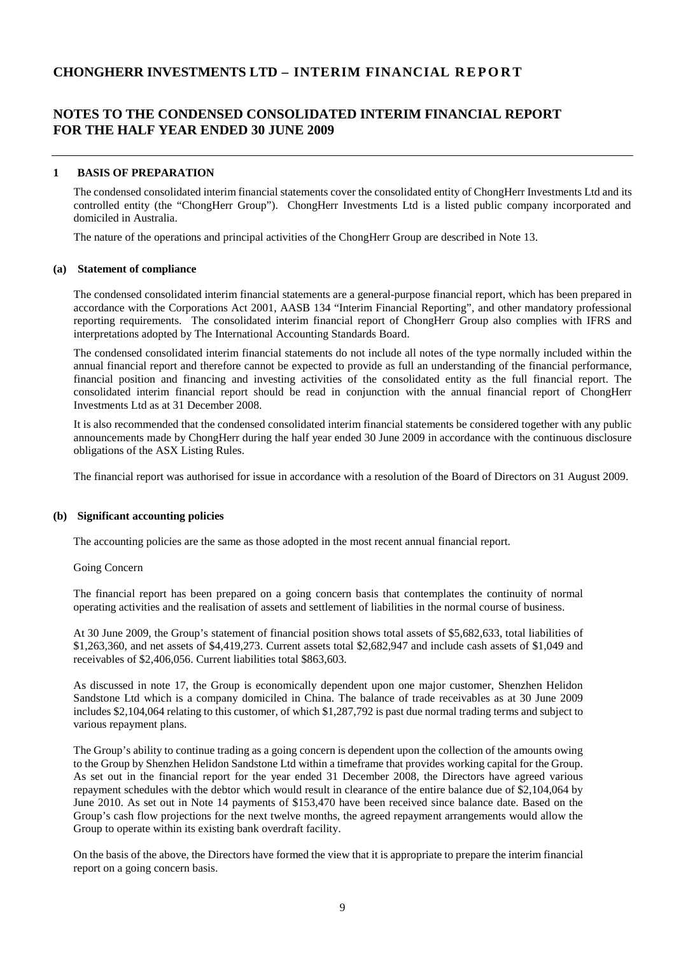# **NOTES TO THE CONDENSED CONSOLIDATED INTERIM FINANCIAL REPORT FOR THE HALF YEAR ENDED 30 JUNE 2009**

#### **1 BASIS OF PREPARATION**

The condensed consolidated interim financial statements cover the consolidated entity of ChongHerr Investments Ltd and its controlled entity (the "ChongHerr Group"). ChongHerr Investments Ltd is a listed public company incorporated and domiciled in Australia.

The nature of the operations and principal activities of the ChongHerr Group are described in Note 13.

#### **(a) Statement of compliance**

The condensed consolidated interim financial statements are a general-purpose financial report, which has been prepared in accordance with the Corporations Act 2001, AASB 134 "Interim Financial Reporting", and other mandatory professional reporting requirements. The consolidated interim financial report of ChongHerr Group also complies with IFRS and interpretations adopted by The International Accounting Standards Board.

The condensed consolidated interim financial statements do not include all notes of the type normally included within the annual financial report and therefore cannot be expected to provide as full an understanding of the financial performance, financial position and financing and investing activities of the consolidated entity as the full financial report. The consolidated interim financial report should be read in conjunction with the annual financial report of ChongHerr Investments Ltd as at 31 December 2008.

It is also recommended that the condensed consolidated interim financial statements be considered together with any public announcements made by ChongHerr during the half year ended 30 June 2009 in accordance with the continuous disclosure obligations of the ASX Listing Rules.

The financial report was authorised for issue in accordance with a resolution of the Board of Directors on 31 August 2009.

#### **(b) Significant accounting policies**

The accounting policies are the same as those adopted in the most recent annual financial report.

#### Going Concern

The financial report has been prepared on a going concern basis that contemplates the continuity of normal operating activities and the realisation of assets and settlement of liabilities in the normal course of business.

At 30 June 2009, the Group's statement of financial position shows total assets of \$5,682,633, total liabilities of \$1,263,360, and net assets of \$4,419,273. Current assets total \$2,682,947 and include cash assets of \$1,049 and receivables of \$2,406,056. Current liabilities total \$863,603.

As discussed in note 17, the Group is economically dependent upon one major customer, Shenzhen Helidon Sandstone Ltd which is a company domiciled in China. The balance of trade receivables as at 30 June 2009 includes \$2,104,064 relating to this customer, of which \$1,287,792 is past due normal trading terms and subject to various repayment plans.

The Group's ability to continue trading as a going concern is dependent upon the collection of the amounts owing to the Group by Shenzhen Helidon Sandstone Ltd within a timeframe that provides working capital for the Group. As set out in the financial report for the year ended 31 December 2008, the Directors have agreed various repayment schedules with the debtor which would result in clearance of the entire balance due of \$2,104,064 by June 2010. As set out in Note 14 payments of \$153,470 have been received since balance date. Based on the Group's cash flow projections for the next twelve months, the agreed repayment arrangements would allow the Group to operate within its existing bank overdraft facility.

On the basis of the above, the Directors have formed the view that it is appropriate to prepare the interim financial report on a going concern basis.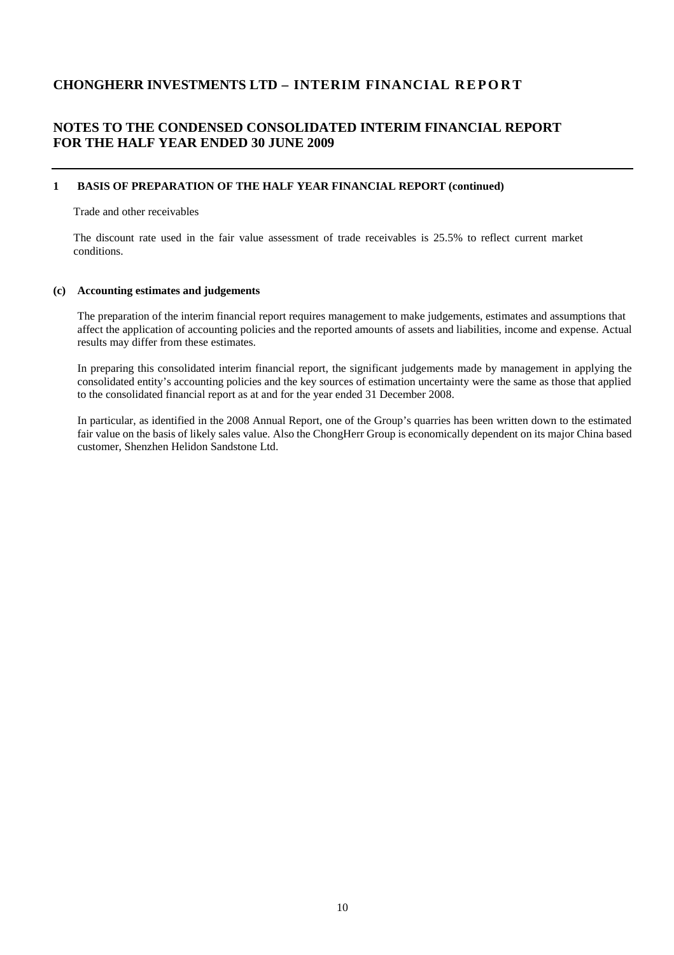# **NOTES TO THE CONDENSED CONSOLIDATED INTERIM FINANCIAL REPORT FOR THE HALF YEAR ENDED 30 JUNE 2009**

#### **1 BASIS OF PREPARATION OF THE HALF YEAR FINANCIAL REPORT (continued)**

Trade and other receivables

The discount rate used in the fair value assessment of trade receivables is 25.5% to reflect current market conditions.

#### **(c) Accounting estimates and judgements**

The preparation of the interim financial report requires management to make judgements, estimates and assumptions that affect the application of accounting policies and the reported amounts of assets and liabilities, income and expense. Actual results may differ from these estimates.

In preparing this consolidated interim financial report, the significant judgements made by management in applying the consolidated entity's accounting policies and the key sources of estimation uncertainty were the same as those that applied to the consolidated financial report as at and for the year ended 31 December 2008.

In particular, as identified in the 2008 Annual Report, one of the Group's quarries has been written down to the estimated fair value on the basis of likely sales value. Also the ChongHerr Group is economically dependent on its major China based customer, Shenzhen Helidon Sandstone Ltd.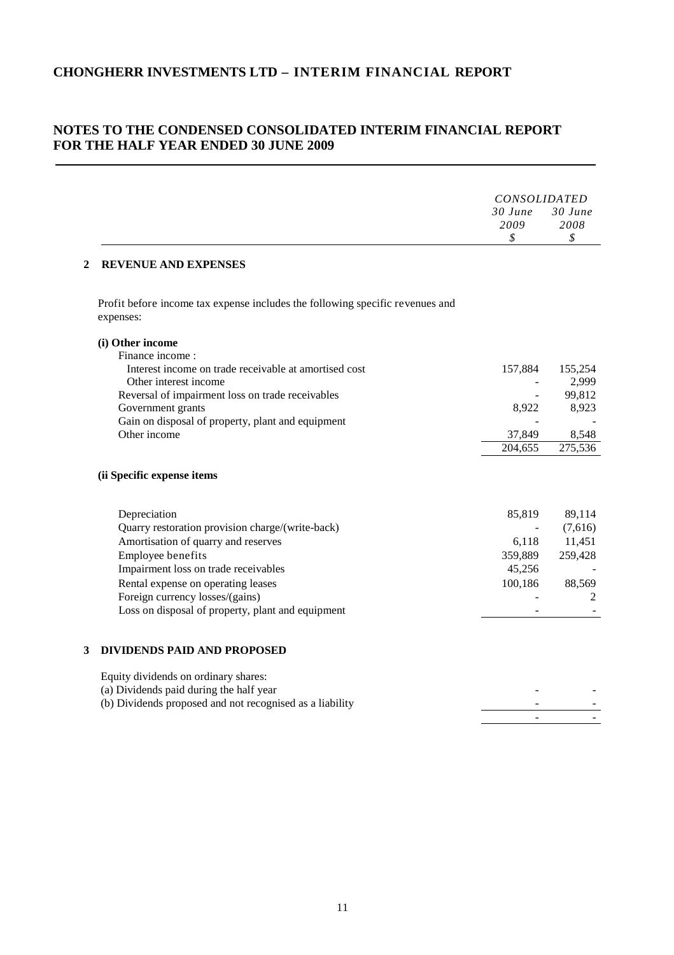# **NOTES TO THE CONDENSED CONSOLIDATED INTERIM FINANCIAL REPORT FOR THE HALF YEAR ENDED 30 JUNE 2009**

| $30$ June<br>2009<br>\$<br><b>REVENUE AND EXPENSES</b><br>Profit before income tax expense includes the following specific revenues and<br>expenses:<br>(i) Other income<br>Finance income:<br>Interest income on trade receivable at amortised cost<br>157,884<br>Other interest income<br>Reversal of impairment loss on trade receivables<br>Government grants<br>8,922<br>Gain on disposal of property, plant and equipment<br>Other income<br>37,849<br>204,655<br>275,536<br>(ii Specific expense items<br>Depreciation<br>85,819<br>Quarry restoration provision charge/(write-back)<br>Amortisation of quarry and reserves<br>6,118<br>Employee benefits<br>359,889<br>Impairment loss on trade receivables<br>45,256<br>Rental expense on operating leases<br>100,186<br>Foreign currency losses/(gains)<br>Loss on disposal of property, plant and equipment<br><b>DIVIDENDS PAID AND PROPOSED</b><br>Equity dividends on ordinary shares:<br>(a) Dividends paid during the half year<br>(b) Dividends proposed and not recognised as a liability |              | <i>CONSOLIDATED</i> |                                      |
|-------------------------------------------------------------------------------------------------------------------------------------------------------------------------------------------------------------------------------------------------------------------------------------------------------------------------------------------------------------------------------------------------------------------------------------------------------------------------------------------------------------------------------------------------------------------------------------------------------------------------------------------------------------------------------------------------------------------------------------------------------------------------------------------------------------------------------------------------------------------------------------------------------------------------------------------------------------------------------------------------------------------------------------------------------------|--------------|---------------------|--------------------------------------|
|                                                                                                                                                                                                                                                                                                                                                                                                                                                                                                                                                                                                                                                                                                                                                                                                                                                                                                                                                                                                                                                             |              |                     | 30 June<br>2008<br>$\mathcal{S}_{0}$ |
|                                                                                                                                                                                                                                                                                                                                                                                                                                                                                                                                                                                                                                                                                                                                                                                                                                                                                                                                                                                                                                                             | $\mathbf{2}$ |                     |                                      |
|                                                                                                                                                                                                                                                                                                                                                                                                                                                                                                                                                                                                                                                                                                                                                                                                                                                                                                                                                                                                                                                             |              |                     |                                      |
|                                                                                                                                                                                                                                                                                                                                                                                                                                                                                                                                                                                                                                                                                                                                                                                                                                                                                                                                                                                                                                                             |              |                     |                                      |
|                                                                                                                                                                                                                                                                                                                                                                                                                                                                                                                                                                                                                                                                                                                                                                                                                                                                                                                                                                                                                                                             |              |                     |                                      |
|                                                                                                                                                                                                                                                                                                                                                                                                                                                                                                                                                                                                                                                                                                                                                                                                                                                                                                                                                                                                                                                             |              |                     | 155,254                              |
|                                                                                                                                                                                                                                                                                                                                                                                                                                                                                                                                                                                                                                                                                                                                                                                                                                                                                                                                                                                                                                                             |              |                     | 2,999                                |
|                                                                                                                                                                                                                                                                                                                                                                                                                                                                                                                                                                                                                                                                                                                                                                                                                                                                                                                                                                                                                                                             |              |                     | 99,812                               |
|                                                                                                                                                                                                                                                                                                                                                                                                                                                                                                                                                                                                                                                                                                                                                                                                                                                                                                                                                                                                                                                             |              |                     | 8,923                                |
|                                                                                                                                                                                                                                                                                                                                                                                                                                                                                                                                                                                                                                                                                                                                                                                                                                                                                                                                                                                                                                                             |              |                     |                                      |
|                                                                                                                                                                                                                                                                                                                                                                                                                                                                                                                                                                                                                                                                                                                                                                                                                                                                                                                                                                                                                                                             |              |                     | 8,548                                |
|                                                                                                                                                                                                                                                                                                                                                                                                                                                                                                                                                                                                                                                                                                                                                                                                                                                                                                                                                                                                                                                             |              |                     |                                      |
|                                                                                                                                                                                                                                                                                                                                                                                                                                                                                                                                                                                                                                                                                                                                                                                                                                                                                                                                                                                                                                                             |              |                     | 89,114                               |
|                                                                                                                                                                                                                                                                                                                                                                                                                                                                                                                                                                                                                                                                                                                                                                                                                                                                                                                                                                                                                                                             |              |                     | (7,616)                              |
|                                                                                                                                                                                                                                                                                                                                                                                                                                                                                                                                                                                                                                                                                                                                                                                                                                                                                                                                                                                                                                                             |              |                     | 11,451                               |
|                                                                                                                                                                                                                                                                                                                                                                                                                                                                                                                                                                                                                                                                                                                                                                                                                                                                                                                                                                                                                                                             |              |                     | 259,428                              |
|                                                                                                                                                                                                                                                                                                                                                                                                                                                                                                                                                                                                                                                                                                                                                                                                                                                                                                                                                                                                                                                             |              |                     |                                      |
|                                                                                                                                                                                                                                                                                                                                                                                                                                                                                                                                                                                                                                                                                                                                                                                                                                                                                                                                                                                                                                                             |              |                     | 88,569                               |
|                                                                                                                                                                                                                                                                                                                                                                                                                                                                                                                                                                                                                                                                                                                                                                                                                                                                                                                                                                                                                                                             |              |                     | 2                                    |
|                                                                                                                                                                                                                                                                                                                                                                                                                                                                                                                                                                                                                                                                                                                                                                                                                                                                                                                                                                                                                                                             |              |                     |                                      |
|                                                                                                                                                                                                                                                                                                                                                                                                                                                                                                                                                                                                                                                                                                                                                                                                                                                                                                                                                                                                                                                             | 3            |                     |                                      |
|                                                                                                                                                                                                                                                                                                                                                                                                                                                                                                                                                                                                                                                                                                                                                                                                                                                                                                                                                                                                                                                             |              |                     |                                      |
|                                                                                                                                                                                                                                                                                                                                                                                                                                                                                                                                                                                                                                                                                                                                                                                                                                                                                                                                                                                                                                                             |              |                     |                                      |
|                                                                                                                                                                                                                                                                                                                                                                                                                                                                                                                                                                                                                                                                                                                                                                                                                                                                                                                                                                                                                                                             |              |                     |                                      |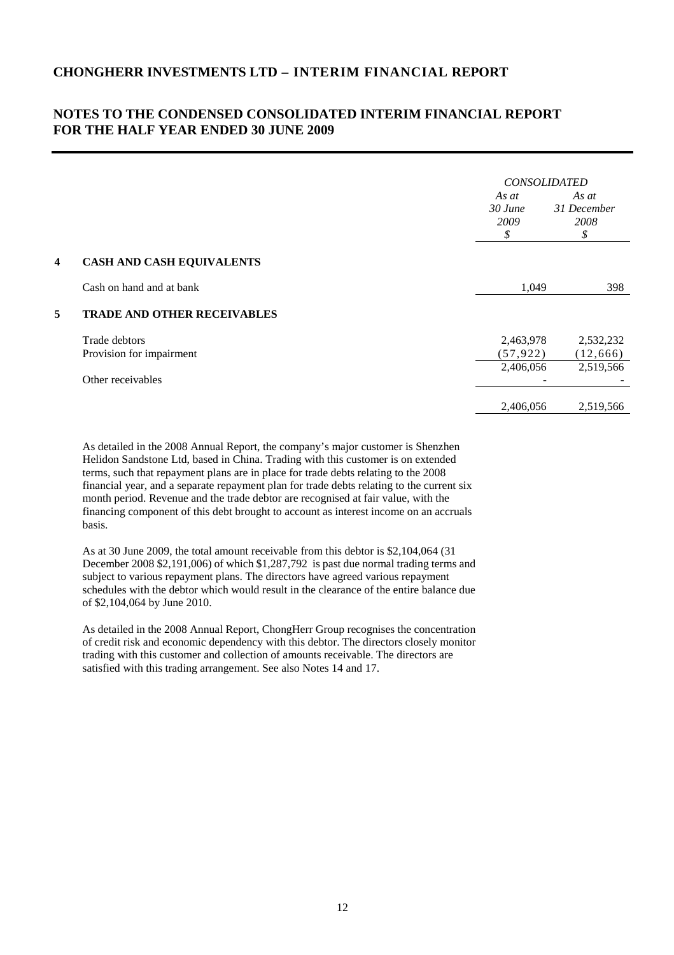# **NOTES TO THE CONDENSED CONSOLIDATED INTERIM FINANCIAL REPORT FOR THE HALF YEAR ENDED 30 JUNE 2009**

|   |                                    | <b>CONSOLIDATED</b>              |                                    |
|---|------------------------------------|----------------------------------|------------------------------------|
|   |                                    | As at<br>$30$ June<br>2009<br>\$ | As at<br>31 December<br>2008<br>\$ |
| 4 | <b>CASH AND CASH EQUIVALENTS</b>   |                                  |                                    |
|   | Cash on hand and at bank           | 1,049                            | 398                                |
| 5 | <b>TRADE AND OTHER RECEIVABLES</b> |                                  |                                    |
|   | Trade debtors                      | 2,463,978                        | 2,532,232                          |
|   | Provision for impairment           | (57, 922)                        | (12, 666)                          |
|   |                                    | 2,406,056                        | 2,519,566                          |
|   | Other receivables                  |                                  |                                    |
|   |                                    | 2,406,056                        | 2,519,566                          |

As detailed in the 2008 Annual Report, the company's major customer is Shenzhen Helidon Sandstone Ltd, based in China. Trading with this customer is on extended terms, such that repayment plans are in place for trade debts relating to the 2008 financial year, and a separate repayment plan for trade debts relating to the current six month period. Revenue and the trade debtor are recognised at fair value, with the financing component of this debt brought to account as interest income on an accruals basis.

As at 30 June 2009, the total amount receivable from this debtor is \$2,104,064 (31 December 2008 \$2,191,006) of which \$1,287,792 is past due normal trading terms and subject to various repayment plans. The directors have agreed various repayment schedules with the debtor which would result in the clearance of the entire balance due of \$2,104,064 by June 2010.

As detailed in the 2008 Annual Report, ChongHerr Group recognises the concentration of credit risk and economic dependency with this debtor. The directors closely monitor trading with this customer and collection of amounts receivable. The directors are satisfied with this trading arrangement. See also Notes 14 and 17.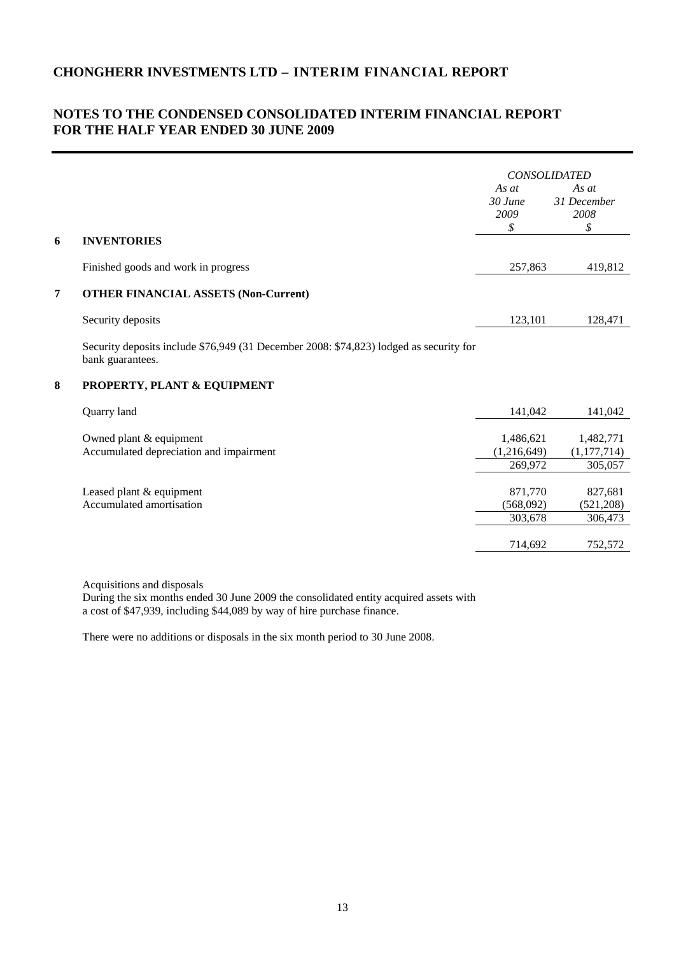# **NOTES TO THE CONDENSED CONSOLIDATED INTERIM FINANCIAL REPORT FOR THE HALF YEAR ENDED 30 JUNE 2009**

|   |                                                                                                            | <b>CONSOLIDATED</b>                 |                                     |
|---|------------------------------------------------------------------------------------------------------------|-------------------------------------|-------------------------------------|
|   |                                                                                                            | As $at$<br>$30$ June<br>2009<br>\$  | As at<br>31 December<br>2008<br>\$  |
| 6 | <b>INVENTORIES</b>                                                                                         |                                     |                                     |
|   | Finished goods and work in progress                                                                        | 257,863                             | 419,812                             |
| 7 | <b>OTHER FINANCIAL ASSETS (Non-Current)</b>                                                                |                                     |                                     |
|   | Security deposits                                                                                          | 123,101                             | 128,471                             |
|   | Security deposits include \$76,949 (31 December 2008: \$74,823) lodged as security for<br>bank guarantees. |                                     |                                     |
| 8 | PROPERTY, PLANT & EQUIPMENT                                                                                |                                     |                                     |
|   | Quarry land                                                                                                | 141,042                             | 141,042                             |
|   | Owned plant & equipment<br>Accumulated depreciation and impairment                                         | 1,486,621<br>(1,216,649)<br>269,972 | 1,482,771<br>(1,177,714)<br>305,057 |
|   | Leased plant & equipment<br>Accumulated amortisation                                                       | 871,770<br>(568,092)<br>303,678     | 827,681<br>(521, 208)<br>306,473    |
|   |                                                                                                            | 714,692                             | 752,572                             |
|   |                                                                                                            |                                     |                                     |

Acquisitions and disposals

During the six months ended 30 June 2009 the consolidated entity acquired assets with a cost of \$47,939, including \$44,089 by way of hire purchase finance.

There were no additions or disposals in the six month period to 30 June 2008.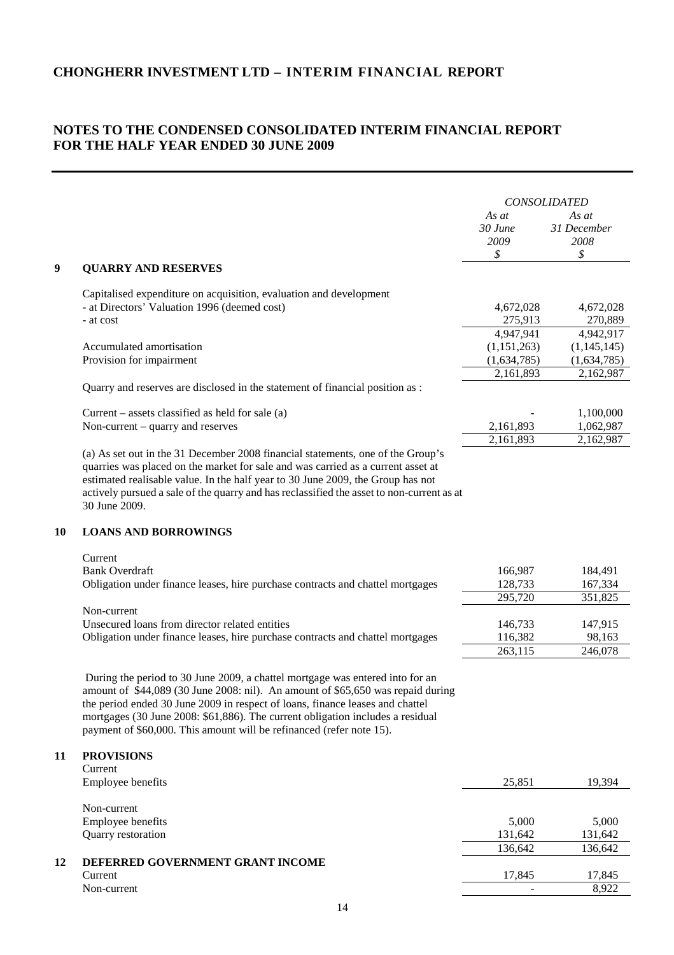# **NOTES TO THE CONDENSED CONSOLIDATED INTERIM FINANCIAL REPORT FOR THE HALF YEAR ENDED 30 JUNE 2009**

|           |                                                                                                                                                                                                                                                                                                                                                                                                             | As at<br>$30$ June<br>2009              | <b>CONSOLIDATED</b><br>As at<br>31 December<br>2008 |
|-----------|-------------------------------------------------------------------------------------------------------------------------------------------------------------------------------------------------------------------------------------------------------------------------------------------------------------------------------------------------------------------------------------------------------------|-----------------------------------------|-----------------------------------------------------|
| 9         | <b>QUARRY AND RESERVES</b>                                                                                                                                                                                                                                                                                                                                                                                  | \$                                      | \$                                                  |
|           | Capitalised expenditure on acquisition, evaluation and development<br>- at Directors' Valuation 1996 (deemed cost)<br>- at cost                                                                                                                                                                                                                                                                             | 4,672,028<br>275,913                    | 4,672,028<br>270,889                                |
|           | Accumulated amortisation<br>Provision for impairment                                                                                                                                                                                                                                                                                                                                                        | 4,947,941<br>(1,151,263)<br>(1,634,785) | 4,942,917<br>(1,145,145)<br>(1,634,785)             |
|           | Quarry and reserves are disclosed in the statement of financial position as :                                                                                                                                                                                                                                                                                                                               | 2,161,893                               | 2,162,987                                           |
|           | Current – assets classified as held for sale $(a)$<br>Non-current – quarry and reserves                                                                                                                                                                                                                                                                                                                     | 2,161,893<br>2,161,893                  | 1,100,000<br>1,062,987<br>2,162,987                 |
|           | (a) As set out in the 31 December 2008 financial statements, one of the Group's<br>quarries was placed on the market for sale and was carried as a current asset at<br>estimated realisable value. In the half year to 30 June 2009, the Group has not<br>actively pursued a sale of the quarry and has reclassified the asset to non-current as at<br>30 June 2009.                                        |                                         |                                                     |
| <b>10</b> | <b>LOANS AND BORROWINGS</b>                                                                                                                                                                                                                                                                                                                                                                                 |                                         |                                                     |
|           | Current<br><b>Bank Overdraft</b><br>Obligation under finance leases, hire purchase contracts and chattel mortgages                                                                                                                                                                                                                                                                                          | 166,987<br>128,733<br>295,720           | 184,491<br>167,334<br>351,825                       |
|           | Non-current<br>Unsecured loans from director related entities<br>Obligation under finance leases, hire purchase contracts and chattel mortgages                                                                                                                                                                                                                                                             | 146,733<br>116,382<br>263,115           | 147,915<br>98,163<br>246,078                        |
|           | During the period to 30 June 2009, a chattel mortgage was entered into for an<br>amount of \$44,089 (30 June 2008: nil). An amount of \$65,650 was repaid during<br>the period ended 30 June 2009 in respect of loans, finance leases and chattel<br>mortgages (30 June 2008: \$61,886). The current obligation includes a residual<br>payment of \$60,000. This amount will be refinanced (refer note 15). |                                         |                                                     |
| 11        | <b>PROVISIONS</b><br>Current<br>Employee benefits                                                                                                                                                                                                                                                                                                                                                           | 25,851                                  | 19,394                                              |
|           | Non-current<br>Employee benefits<br>Quarry restoration                                                                                                                                                                                                                                                                                                                                                      | 5,000<br>131,642                        | 5,000<br>131,642                                    |
| 12        | DEFERRED GOVERNMENT GRANT INCOME<br>Current<br>Non-current                                                                                                                                                                                                                                                                                                                                                  | 136,642<br>17,845                       | 136,642<br>17,845<br>8,922                          |
|           |                                                                                                                                                                                                                                                                                                                                                                                                             |                                         |                                                     |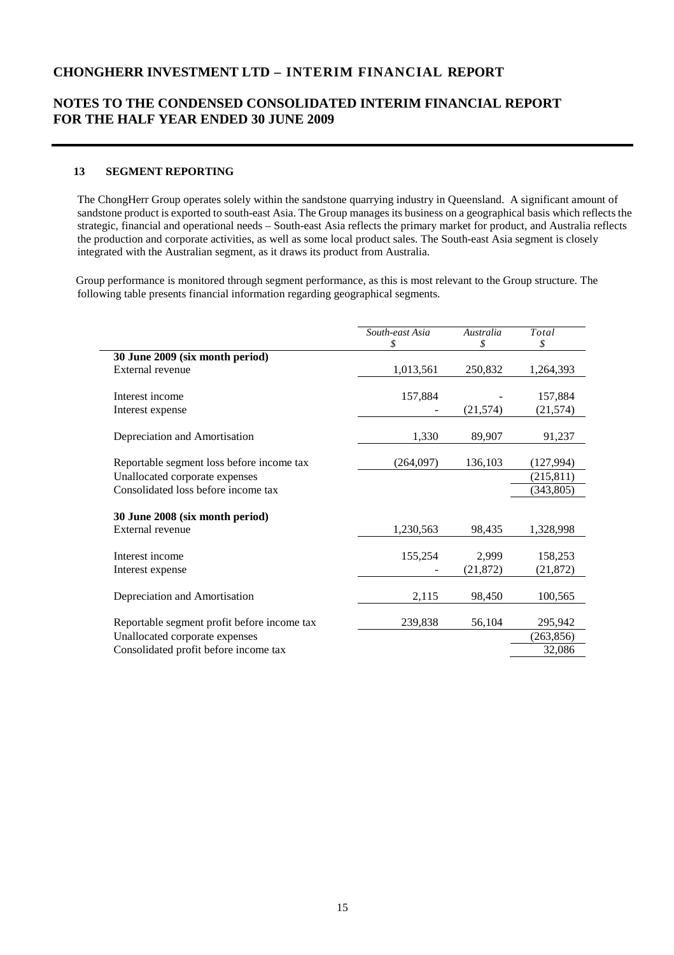### **NOTES TO THE CONDENSED CONSOLIDATED INTERIM FINANCIAL REPORT FOR THE HALF YEAR ENDED 30 JUNE 2009**

#### **13 SEGMENT REPORTING**

The ChongHerr Group operates solely within the sandstone quarrying industry in Queensland. A significant amount of sandstone product is exported to south-east Asia. The Group manages its business on a geographical basis which reflects the strategic, financial and operational needs – South-east Asia reflects the primary market for product, and Australia reflects the production and corporate activities, as well as some local product sales. The South-east Asia segment is closely integrated with the Australian segment, as it draws its product from Australia.

 Group performance is monitored through segment performance, as this is most relevant to the Group structure. The following table presents financial information regarding geographical segments.

|                                             | South-east Asia | Australia | Total      |
|---------------------------------------------|-----------------|-----------|------------|
|                                             | \$              | \$        | \$         |
| 30 June 2009 (six month period)             |                 |           |            |
| External revenue                            | 1,013,561       | 250,832   | 1,264,393  |
|                                             |                 |           |            |
| Interest income                             | 157,884         |           | 157,884    |
| Interest expense                            |                 | (21, 574) | (21, 574)  |
|                                             |                 |           |            |
| Depreciation and Amortisation               | 1,330           | 89,907    | 91,237     |
|                                             |                 |           |            |
| Reportable segment loss before income tax   | (264,097)       | 136,103   | (127, 994) |
| Unallocated corporate expenses              |                 |           | (215, 811) |
| Consolidated loss before income tax         |                 |           | (343, 805) |
|                                             |                 |           |            |
| 30 June 2008 (six month period)             |                 |           |            |
| External revenue                            | 1,230,563       | 98,435    | 1,328,998  |
|                                             |                 |           |            |
| Interest income                             | 155,254         | 2,999     | 158,253    |
| Interest expense                            |                 | (21, 872) | (21, 872)  |
|                                             |                 |           |            |
| Depreciation and Amortisation               | 2,115           | 98,450    | 100,565    |
|                                             |                 |           |            |
| Reportable segment profit before income tax | 239,838         | 56,104    | 295,942    |
| Unallocated corporate expenses              |                 |           | (263, 856) |
| Consolidated profit before income tax       |                 |           | 32,086     |
|                                             |                 |           |            |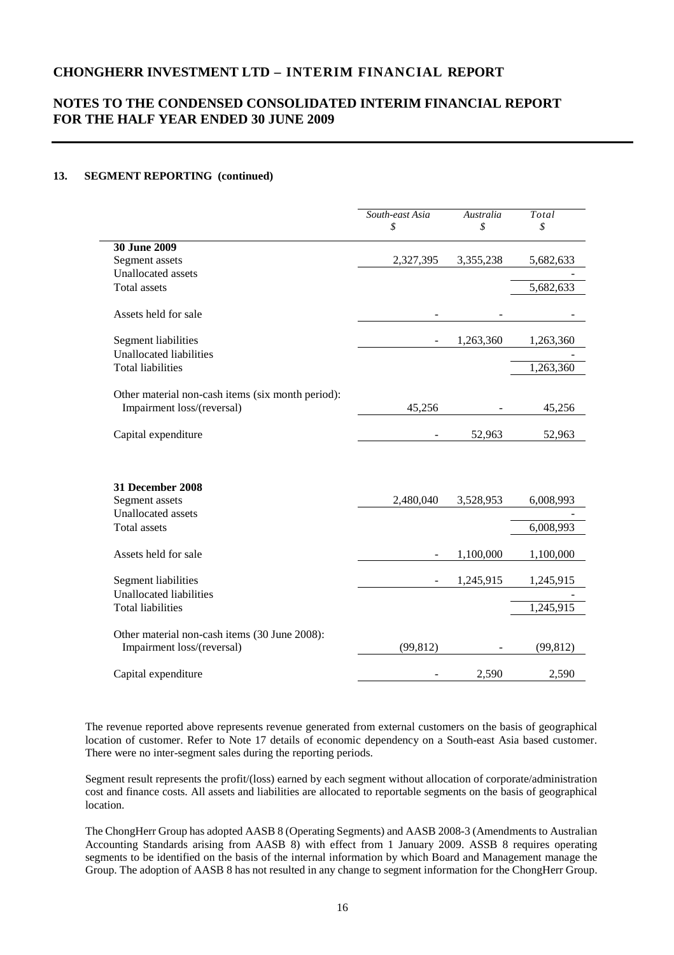# **NOTES TO THE CONDENSED CONSOLIDATED INTERIM FINANCIAL REPORT FOR THE HALF YEAR ENDED 30 JUNE 2009**

#### **13. SEGMENT REPORTING (continued)**

|                                                                             | South-east Asia<br>\$ | Australia<br>\$ | Total<br>\$            |
|-----------------------------------------------------------------------------|-----------------------|-----------------|------------------------|
| 30 June 2009                                                                |                       |                 |                        |
| Segment assets                                                              | 2,327,395             | 3,355,238       | 5,682,633              |
| <b>Unallocated</b> assets                                                   |                       |                 |                        |
| <b>Total</b> assets                                                         |                       |                 | $\overline{5,}682,633$ |
| Assets held for sale                                                        |                       |                 |                        |
| Segment liabilities                                                         |                       | 1,263,360       | 1,263,360              |
| <b>Unallocated liabilities</b>                                              |                       |                 |                        |
| <b>Total liabilities</b>                                                    |                       |                 | 1,263,360              |
| Other material non-cash items (six month period):                           |                       |                 |                        |
| Impairment loss/(reversal)                                                  | 45,256                |                 | 45,256                 |
| Capital expenditure                                                         |                       | 52,963          | 52,963                 |
| 31 December 2008                                                            |                       |                 |                        |
| Segment assets                                                              | 2,480,040             | 3,528,953       | 6,008,993              |
| <b>Unallocated</b> assets                                                   |                       |                 |                        |
| <b>Total</b> assets                                                         |                       |                 | 6,008,993              |
| Assets held for sale                                                        |                       | 1,100,000       | 1,100,000              |
| <b>Segment liabilities</b>                                                  |                       | 1,245,915       | 1,245,915              |
| <b>Unallocated liabilities</b>                                              |                       |                 |                        |
| <b>Total liabilities</b>                                                    |                       |                 | 1,245,915              |
| Other material non-cash items (30 June 2008):<br>Impairment loss/(reversal) | (99, 812)             |                 | (99, 812)              |
| Capital expenditure                                                         |                       | 2,590           | 2,590                  |

The revenue reported above represents revenue generated from external customers on the basis of geographical location of customer. Refer to Note 17 details of economic dependency on a South-east Asia based customer. There were no inter-segment sales during the reporting periods.

Segment result represents the profit/(loss) earned by each segment without allocation of corporate/administration cost and finance costs. All assets and liabilities are allocated to reportable segments on the basis of geographical location.

The ChongHerr Group has adopted AASB 8 (Operating Segments) and AASB 2008-3 (Amendments to Australian Accounting Standards arising from AASB 8) with effect from 1 January 2009. ASSB 8 requires operating segments to be identified on the basis of the internal information by which Board and Management manage the Group. The adoption of AASB 8 has not resulted in any change to segment information for the ChongHerr Group.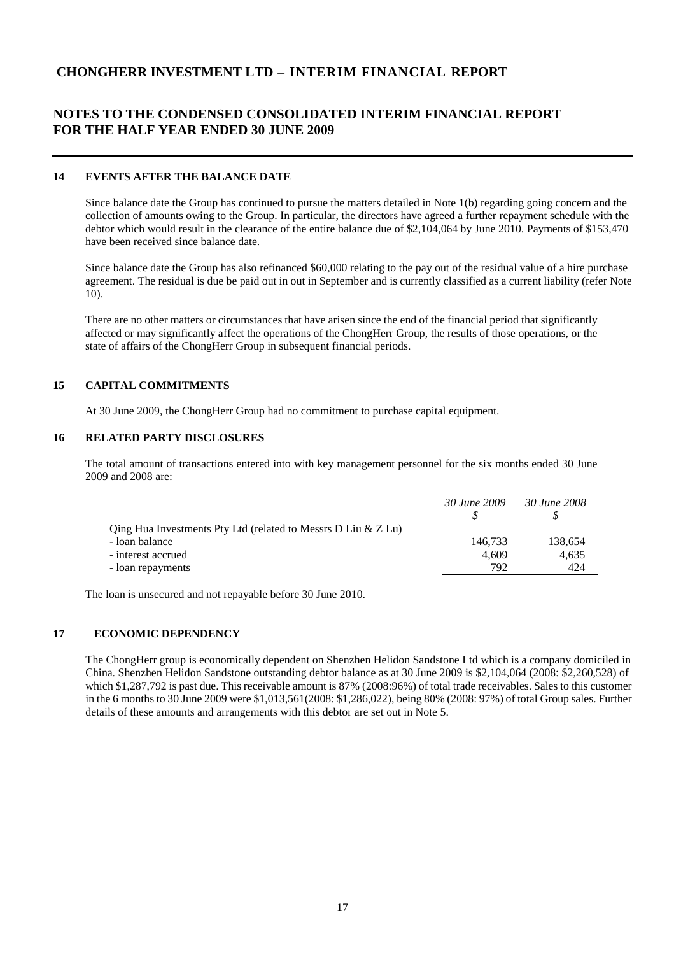# **NOTES TO THE CONDENSED CONSOLIDATED INTERIM FINANCIAL REPORT FOR THE HALF YEAR ENDED 30 JUNE 2009**

#### **14 EVENTS AFTER THE BALANCE DATE**

Since balance date the Group has continued to pursue the matters detailed in Note 1(b) regarding going concern and the collection of amounts owing to the Group. In particular, the directors have agreed a further repayment schedule with the debtor which would result in the clearance of the entire balance due of \$2,104,064 by June 2010. Payments of \$153,470 have been received since balance date.

Since balance date the Group has also refinanced \$60,000 relating to the pay out of the residual value of a hire purchase agreement. The residual is due be paid out in out in September and is currently classified as a current liability (refer Note 10).

There are no other matters or circumstances that have arisen since the end of the financial period that significantly affected or may significantly affect the operations of the ChongHerr Group, the results of those operations, or the state of affairs of the ChongHerr Group in subsequent financial periods.

#### **15 CAPITAL COMMITMENTS**

At 30 June 2009, the ChongHerr Group had no commitment to purchase capital equipment.

#### **16 RELATED PARTY DISCLOSURES**

The total amount of transactions entered into with key management personnel for the six months ended 30 June 2009 and 2008 are:

|                                                                | 30 June 2009 | 30 June 2008 |
|----------------------------------------------------------------|--------------|--------------|
| Qing Hua Investments Pty Ltd (related to Messrs D Liu $&Z$ Lu) |              |              |
| - loan balance                                                 | 146.733      | 138,654      |
| - interest accrued                                             | 4.609        | 4.635        |
| - loan repayments                                              | 792          | 424          |
|                                                                |              |              |

The loan is unsecured and not repayable before 30 June 2010.

#### **17 ECONOMIC DEPENDENCY**

The ChongHerr group is economically dependent on Shenzhen Helidon Sandstone Ltd which is a company domiciled in China. Shenzhen Helidon Sandstone outstanding debtor balance as at 30 June 2009 is \$2,104,064 (2008: \$2,260,528) of which \$1,287,792 is past due. This receivable amount is 87% (2008:96%) of total trade receivables. Sales to this customer in the 6 months to 30 June 2009 were \$1,013,561(2008: \$1,286,022), being 80% (2008: 97%) of total Group sales. Further details of these amounts and arrangements with this debtor are set out in Note 5.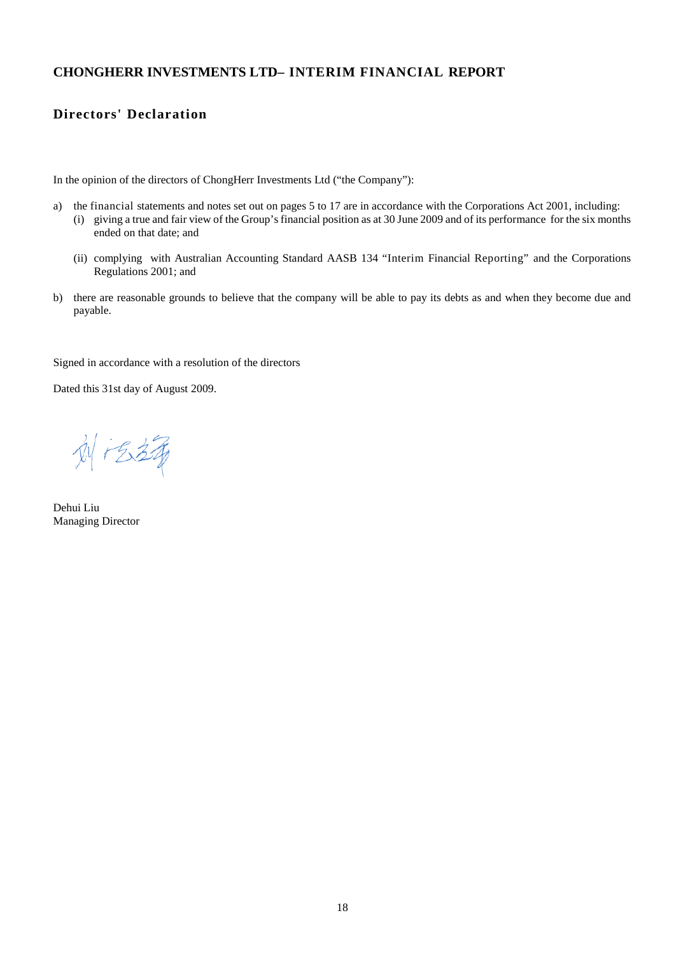# **Directors' Declaration**

In the opinion of the directors of ChongHerr Investments Ltd ("the Company"):

- a) the financial statements and notes set out on pages 5 to 17 are in accordance with the Corporations Act 2001, including:
	- (i) giving a true and fair view of the Group's financial position as at 30 June 2009 and of its performance for the six months ended on that date; and
	- (ii) complying with Australian Accounting Standard AASB 134 "Interim Financial Reporting" and the Corporations Regulations 2001; and
- b) there are reasonable grounds to believe that the company will be able to pay its debts as and when they become due and payable.

Signed in accordance with a resolution of the directors

Dated this 31st day of August 2009.

刘冶铸

Dehui Liu Managing Director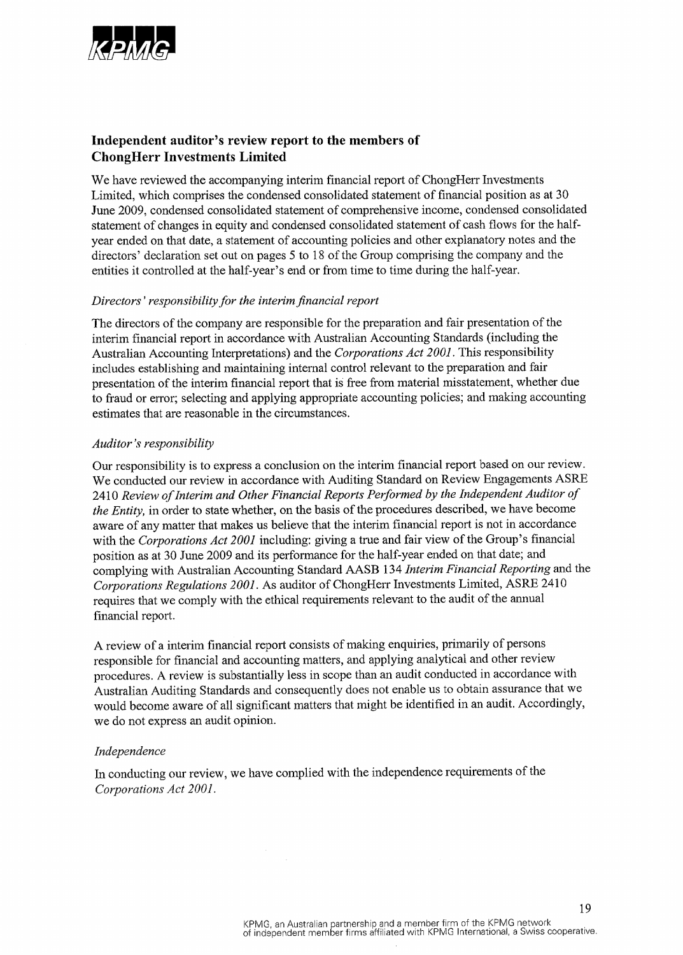

# Independent auditor's review report to the members of **ChongHerr Investments Limited**

We have reviewed the accompanying interim financial report of ChongHerr Investments Limited, which comprises the condensed consolidated statement of financial position as at 30 June 2009, condensed consolidated statement of comprehensive income, condensed consolidated statement of changes in equity and condensed consolidated statement of cash flows for the halfyear ended on that date, a statement of accounting policies and other explanatory notes and the directors' declaration set out on pages 5 to 18 of the Group comprising the company and the entities it controlled at the half-year's end or from time to time during the half-year.

#### Directors' responsibility for the interim financial report

The directors of the company are responsible for the preparation and fair presentation of the interim financial report in accordance with Australian Accounting Standards (including the Australian Accounting Interpretations) and the Corporations Act 2001. This responsibility includes establishing and maintaining internal control relevant to the preparation and fair presentation of the interim financial report that is free from material misstatement, whether due to fraud or error; selecting and applying appropriate accounting policies; and making accounting estimates that are reasonable in the circumstances.

#### Auditor's responsibility

Our responsibility is to express a conclusion on the interim financial report based on our review. We conducted our review in accordance with Auditing Standard on Review Engagements ASRE 2410 Review of Interim and Other Financial Reports Performed by the Independent Auditor of the Entity, in order to state whether, on the basis of the procedures described, we have become aware of any matter that makes us believe that the interim financial report is not in accordance with the Corporations Act 2001 including: giving a true and fair view of the Group's financial position as at 30 June 2009 and its performance for the half-year ended on that date; and complying with Australian Accounting Standard AASB 134 Interim Financial Reporting and the Corporations Regulations 2001. As auditor of ChongHerr Investments Limited, ASRE 2410 requires that we comply with the ethical requirements relevant to the audit of the annual financial report.

A review of a interim financial report consists of making enquiries, primarily of persons responsible for financial and accounting matters, and applying analytical and other review procedures. A review is substantially less in scope than an audit conducted in accordance with Australian Auditing Standards and consequently does not enable us to obtain assurance that we would become aware of all significant matters that might be identified in an audit. Accordingly, we do not express an audit opinion.

#### Independence

In conducting our review, we have complied with the independence requirements of the Corporations Act 2001.